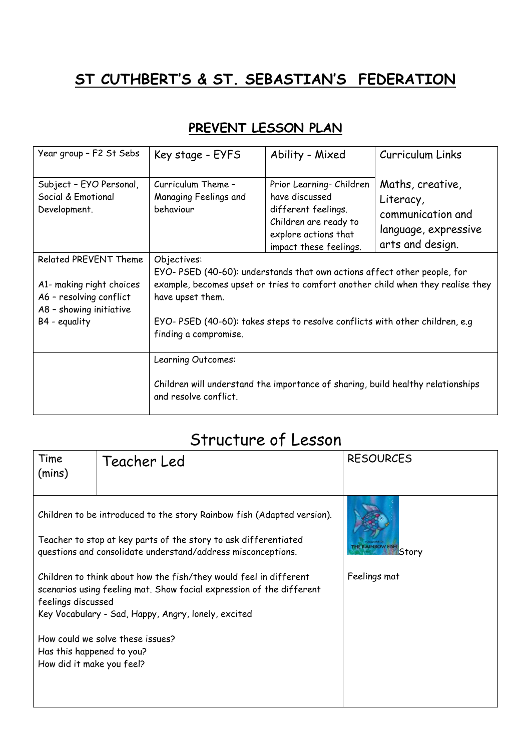## **ST CUTHBERT'S & ST. SEBASTIAN'S FEDERATION**

## **PREVENT LESSON PLAN**

| Year group - F2 St Sebs                                                        | Key stage - EYFS                                                                                                                                                               | Ability - Mixed                                                                                                                              | <b>Curriculum Links</b>                                                                        |
|--------------------------------------------------------------------------------|--------------------------------------------------------------------------------------------------------------------------------------------------------------------------------|----------------------------------------------------------------------------------------------------------------------------------------------|------------------------------------------------------------------------------------------------|
| Subject - EYO Personal,<br>Social & Emotional<br>Development.                  | Curriculum Theme -<br>Managing Feelings and<br>behaviour                                                                                                                       | Prior Learning- Children<br>have discussed<br>different feelings.<br>Children are ready to<br>explore actions that<br>impact these feelings. | Maths, creative,<br>Literacy,<br>communication and<br>language, expressive<br>arts and design. |
| Related PREVENT Theme                                                          | Objectives:                                                                                                                                                                    |                                                                                                                                              |                                                                                                |
| A1- making right choices<br>A6 - resolving conflict<br>A8 - showing initiative | EYO-PSED (40-60): understands that own actions affect other people, for<br>example, becomes upset or tries to comfort another child when they realise they<br>have upset them. |                                                                                                                                              |                                                                                                |
| B4 - equality                                                                  | EYO-PSED (40-60): takes steps to resolve conflicts with other children, e.g<br>finding a compromise.                                                                           |                                                                                                                                              |                                                                                                |
|                                                                                | Learning Outcomes:                                                                                                                                                             |                                                                                                                                              |                                                                                                |
|                                                                                | Children will understand the importance of sharing, build healthy relationships<br>and resolve conflict.                                                                       |                                                                                                                                              |                                                                                                |

## Structure of Lesson

| Time<br>(mins)                                                                                                                                                                                                         | Teacher Led | <b>RESOURCES</b>                 |
|------------------------------------------------------------------------------------------------------------------------------------------------------------------------------------------------------------------------|-------------|----------------------------------|
| Children to be introduced to the story Rainbow fish (Adapted version).<br>Teacher to stop at key parts of the story to ask differentiated<br>questions and consolidate understand/address misconceptions.              |             | <b>THE RAINBOW FISH</b><br>Story |
| Children to think about how the fish/they would feel in different<br>scenarios using feeling mat. Show facial expression of the different<br>feelings discussed<br>Key Vocabulary - Sad, Happy, Angry, lonely, excited |             | Feelings mat                     |
| How could we solve these issues?<br>Has this happened to you?<br>How did it make you feel?                                                                                                                             |             |                                  |